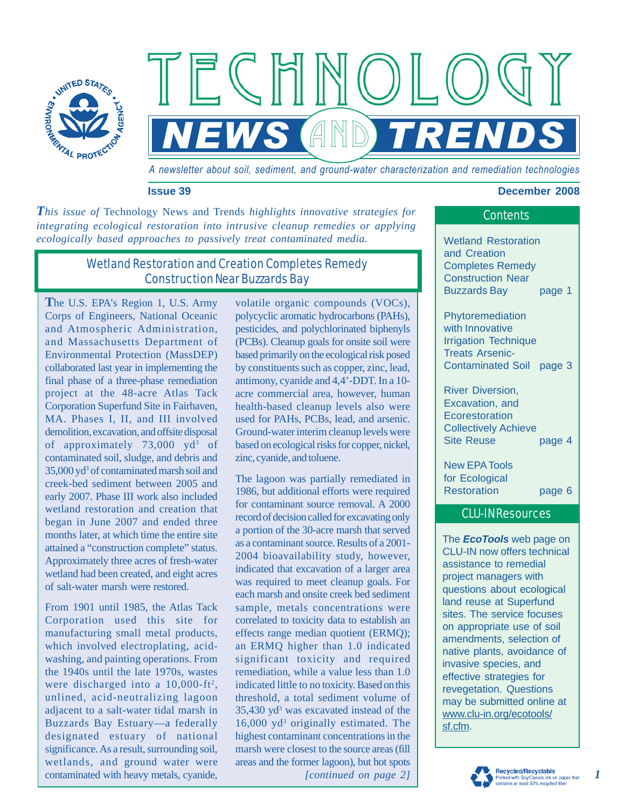

*A newsletter about soil, sediment, and ground-water characterization and remediation technologies* 

 $FCHMMO$ 

*CAND TREND* 

#### **Issue 39 December 2008**

*This issue of* Technology News and Trends *highlights innovative strategies for integrating ecological restoration into intrusive cleanup remedies or applying ecologically based approaches to passively treat contaminated media.* Wetland Restoration

# Wetland Restoration and Creation Completes Remedy Construction Near Buzzards Bay

**T**he U.S. EPA's Region 1, U.S. Army Corps of Engineers, National Oceanic and Atmospheric Administration, and Massachusetts Department of Environmental Protection (MassDEP) collaborated last year in implementing the final phase of a three-phase remediation project at the 48-acre Atlas Tack Corporation Superfund Site in Fairhaven, MA. Phases I, II, and III involved demolition, excavation, and offsite disposal of approximately  $73,000$  yd<sup>3</sup> of contaminated soil, sludge, and debris and  $35,000$  yd<sup>3</sup> of contaminated marsh soil and creek-bed sediment between 2005 and early 2007. Phase III work also included wetland restoration and creation that began in June 2007 and ended three months later, at which time the entire site attained a "construction complete" status. Approximately three acres of fresh-water wetland had been created, and eight acres of salt-water marsh were restored.

From 1901 until 1985, the Atlas Tack Corporation used this site for manufacturing small metal products, which involved electroplating, acidwashing, and painting operations. From the 1940s until the late 1970s, wastes were discharged into a  $10,000$ -ft<sup>2</sup>, unlined, acid-neutralizing lagoon adjacent to a salt-water tidal marsh in Buzzards Bay Estuary—a federally designated estuary of national significance. As a result, surrounding soil, wetlands, and ground water were contaminated with heavy metals, cyanide,

volatile organic compounds (VOCs), polycyclic aromatic hydrocarbons (PAHs), pesticides, and polychlorinated biphenyls (PCBs). Cleanup goals for onsite soil were based primarily on the ecological risk posed by constituents such as copper, zinc, lead, antimony, cyanide and 4,4'-DDT. In a 10 acre commercial area, however, human health-based cleanup levels also were used for PAHs, PCBs, lead, and arsenic. Ground-water interim cleanup levels were based on ecological risks for copper, nickel, zinc, cyanide, and toluene.

*[continued on page 2]*  The lagoon was partially remediated in 1986, but additional efforts were required for contaminant source removal. A 2000 record of decision called for excavating only a portion of the 30-acre marsh that served as a contaminant source. Results of a 2001- 2004 bioavailability study, however, indicated that excavation of a larger area was required to meet cleanup goals. For each marsh and onsite creek bed sediment sample, metals concentrations were correlated to toxicity data to establish an effects range median quotient (ERMQ); an ERMQ higher than 1.0 indicated significant toxicity and required remediation, while a value less than 1.0 indicated little to no toxicity. Based on this threshold, a total sediment volume of 35,430 yd<sup>3</sup> was excavated instead of the 16,000 yd<sup>3</sup> originally estimated. The highest contaminant concentrations in the marsh were closest to the source areas (fill areas and the former lagoon), but hot spots

# Contents

and Creation Completes Remedy Construction Near Buzzards Bay page 1

Phytoremediation with Innovative Irrigation Technique Treats Arsenic-Contaminated Soil page 3

River Diversion, Excavation, and **Ecorestoration** Collectively Achieve Site Reuse page 4

New EPA Tools for Ecological Restoration page 6

### CLU-IN Resources

The *EcoTools* web page on CLU-IN now offers technical assistance to remedial project managers with questions about ecological land reuse at Superfund sites. The service focuses on appropriate use of soil amendments, selection of native plants, avoidance of invasive species, and effective strategies for revegetation. Questions may be submitted online at [www.clu-in.org/ecotools/](http://www.clu-in.org/ecotools/sf.cfm)  sf.cfm.



*1*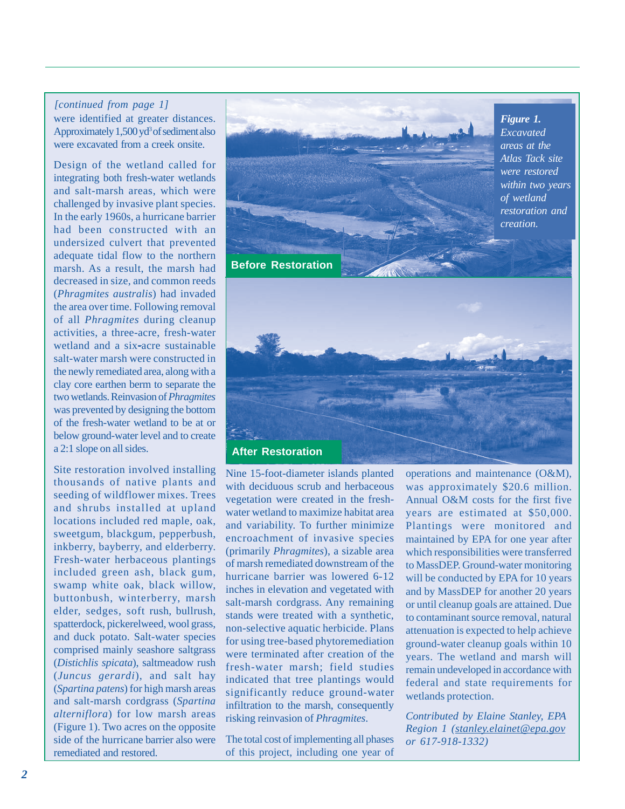#### *[continued from page 1]*

were identified at greater distances. Approximately  $1,500$  yd<sup>3</sup> of sediment also were excavated from a creek onsite.

Design of the wetland called for integrating both fresh-water wetlands and salt-marsh areas, which were challenged by invasive plant species. In the early 1960s, a hurricane barrier had been constructed with an undersized culvert that prevented adequate tidal flow to the northern marsh. As a result, the marsh had decreased in size, and common reeds (*Phragmites australis*) had invaded the area over time. Following removal of all *Phragmites* during cleanup activities, a three-acre, fresh-water wetland and a six-acre sustainable salt-water marsh were constructed in the newly remediated area, along with a clay core earthen berm to separate the two wetlands. Reinvasion of *Phragmites*  was prevented by designing the bottom of the fresh-water wetland to be at or below ground-water level and to create a 2:1 slope on all sides.

Site restoration involved installing thousands of native plants and seeding of wildflower mixes. Trees and shrubs installed at upland locations included red maple, oak, sweetgum, blackgum, pepperbush, inkberry, bayberry, and elderberry. Fresh-water herbaceous plantings included green ash, black gum, swamp white oak, black willow, buttonbush, winterberry, marsh elder, sedges, soft rush, bullrush, spatterdock, pickerelweed, wool grass, and duck potato. Salt-water species comprised mainly seashore saltgrass (*Distichlis spicata*), saltmeadow rush (*Juncus gerardi*), and salt hay (*Spartina patens*) for high marsh areas and salt-marsh cordgrass (*Spartina alterniflora*) for low marsh areas (Figure 1). Two acres on the opposite side of the hurricane barrier also were remediated and restored.



 were terminated after creation of the Nine 15-foot-diameter islands planted with deciduous scrub and herbaceous vegetation were created in the freshwater wetland to maximize habitat area and variability. To further minimize encroachment of invasive species (primarily *Phragmites*), a sizable area of marsh remediated downstream of the hurricane barrier was lowered 6-12 inches in elevation and vegetated with salt-marsh cordgrass. Any remaining stands were treated with a synthetic, non-selective aquatic herbicide. Plans for using tree-based phytoremediation fresh-water marsh; field studies indicated that tree plantings would significantly reduce ground-water infiltration to the marsh, consequently risking reinvasion of *Phragmites*.

The total cost of implementing all phases of this project, including one year of operations and maintenance (O&M), was approximately \$20.6 million. Annual O&M costs for the first five years are estimated at \$50,000. Plantings were monitored and maintained by EPA for one year after which responsibilities were transferred to MassDEP. Ground-water monitoring will be conducted by EPA for 10 years and by MassDEP for another 20 years or until cleanup goals are attained. Due to contaminant source removal, natural attenuation is expected to help achieve ground-water cleanup goals within 10 years. The wetland and marsh will remain undeveloped in accordance with federal and state requirements for wetlands protection.

*Contributed by Elaine Stanley, EPA Region 1 [\(stanley.elainet@epa.gov](mailto:stanley.elainet@epa.gov)  or 617-918-1332)*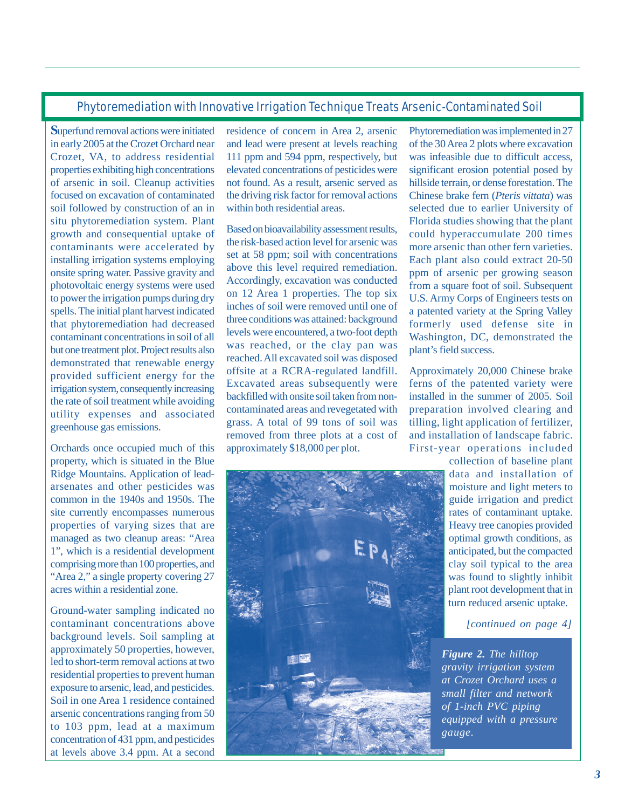## Phytoremediation with Innovative Irrigation Technique Treats Arsenic-Contaminated Soil

**S**uperfund removal actions were initiated in early 2005 at the Crozet Orchard near Crozet, VA, to address residential properties exhibiting high concentrations of arsenic in soil. Cleanup activities focused on excavation of contaminated soil followed by construction of an in situ phytoremediation system. Plant growth and consequential uptake of contaminants were accelerated by installing irrigation systems employing onsite spring water. Passive gravity and photovoltaic energy systems were used to power the irrigation pumps during dry spells. The initial plant harvest indicated that phytoremediation had decreased contaminant concentrations in soil of all but one treatment plot. Project results also demonstrated that renewable energy provided sufficient energy for the irrigation system, consequently increasing the rate of soil treatment while avoiding utility expenses and associated greenhouse gas emissions.

Orchards once occupied much of this property, which is situated in the Blue Ridge Mountains. Application of leadarsenates and other pesticides was common in the 1940s and 1950s. The site currently encompasses numerous properties of varying sizes that are managed as two cleanup areas: "Area 1", which is a residential development comprising more than 100 properties, and "Area 2," a single property covering 27 acres within a residential zone.

Ground-water sampling indicated no contaminant concentrations above background levels. Soil sampling at approximately 50 properties, however, led to short-term removal actions at two residential properties to prevent human exposure to arsenic, lead, and pesticides. Soil in one Area 1 residence contained arsenic concentrations ranging from 50 to 103 ppm, lead at a maximum concentration of 431 ppm, and pesticides at levels above 3.4 ppm. At a second

residence of concern in Area 2, arsenic and lead were present at levels reaching 111 ppm and 594 ppm, respectively, but elevated concentrations of pesticides were not found. As a result, arsenic served as the driving risk factor for removal actions within both residential areas.

Based on bioavailability assessment results, the risk-based action level for arsenic was set at 58 ppm; soil with concentrations above this level required remediation. Accordingly, excavation was conducted on 12 Area 1 properties. The top six inches of soil were removed until one of three conditions was attained: background levels were encountered, a two-foot depth was reached, or the clay pan was reached. All excavated soil was disposed offsite at a RCRA-regulated landfill. Excavated areas subsequently were backfilled with onsite soil taken from noncontaminated areas and revegetated with grass. A total of 99 tons of soil was removed from three plots at a cost of approximately \$18,000 per plot.



Phytoremediation was implemented in 27 of the 30 Area 2 plots where excavation was infeasible due to difficult access, significant erosion potential posed by hillside terrain, or dense forestation. The Chinese brake fern (*Pteris vittata*) was selected due to earlier University of Florida studies showing that the plant could hyperaccumulate 200 times more arsenic than other fern varieties. Each plant also could extract 20-50 ppm of arsenic per growing season from a square foot of soil. Subsequent U.S. Army Corps of Engineers tests on a patented variety at the Spring Valley formerly used defense site in Washington, DC, demonstrated the plant's field success.

Approximately 20,000 Chinese brake ferns of the patented variety were installed in the summer of 2005. Soil preparation involved clearing and tilling, light application of fertilizer, and installation of landscape fabric. First-year operations included

collection of baseline plant data and installation of moisture and light meters to guide irrigation and predict rates of contaminant uptake. Heavy tree canopies provided optimal growth conditions, as anticipated, but the compacted clay soil typical to the area was found to slightly inhibit plant root development that in turn reduced arsenic uptake.

*[continued on page 4]* 

*Figure 2. The hilltop gravity irrigation system at Crozet Orchard uses a small filter and network of 1-inch PVC piping equipped with a pressure gauge.*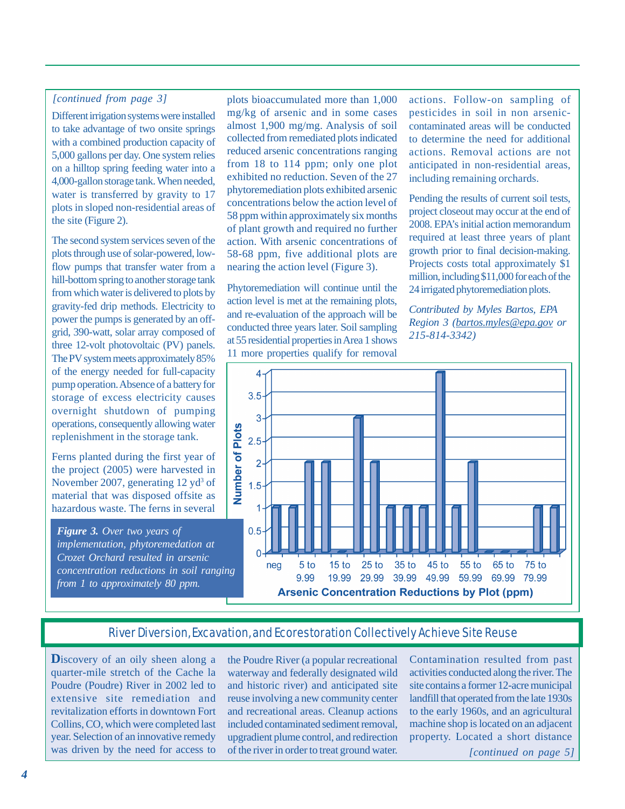### *[continued from page 3]*

Different irrigation systems were installed to take advantage of two onsite springs with a combined production capacity of 5,000 gallons per day. One system relies on a hilltop spring feeding water into a 4,000-gallon storage tank. When needed, water is transferred by gravity to 17 plots in sloped non-residential areas of the site (Figure 2).

The second system services seven of the plots through use of solar-powered, lowflow pumps that transfer water from a hill-bottom spring to another storage tank from which water is delivered to plots by gravity-fed drip methods. Electricity to power the pumps is generated by an offgrid, 390-watt, solar array composed of three 12-volt photovoltaic (PV) panels. The PV system meets approximately 85% of the energy needed for full-capacity pump operation. Absence of a battery for storage of excess electricity causes overnight shutdown of pumping operations, consequently allowing water replenishment in the storage tank.

Ferns planted during the first year of the project (2005) were harvested in November 2007, generating 12 yd<sup>3</sup> of material that was disposed offsite as hazardous waste. The ferns in several

*Figure 3. Over two years of implementation, phytoremedation at Crozet Orchard resulted in arsenic concentration reductions in soil ranging from 1 to approximately 80 ppm.* 

plots bioaccumulated more than 1,000 mg/kg of arsenic and in some cases almost 1,900 mg/mg. Analysis of soil collected from remediated plots indicated reduced arsenic concentrations ranging from 18 to 114 ppm; only one plot exhibited no reduction. Seven of the 27 phytoremediation plots exhibited arsenic concentrations below the action level of 58 ppm within approximately six months of plant growth and required no further action. With arsenic concentrations of 58-68 ppm, five additional plots are nearing the action level (Figure 3).

Phytoremediation will continue until the action level is met at the remaining plots, and re-evaluation of the approach will be conducted three years later. Soil sampling at 55 residential properties in Area 1 shows 11 more properties qualify for removal

actions. Follow-on sampling of pesticides in soil in non arseniccontaminated areas will be conducted to determine the need for additional actions. Removal actions are not anticipated in non-residential areas, including remaining orchards.

Pending the results of current soil tests, project closeout may occur at the end of 2008. EPA's initial action memorandum required at least three years of plant growth prior to final decision-making. Projects costs total approximately \$1 million, including \$11,000 for each of the 24 irrigated phytoremediation plots.

*Contributed by Myles Bartos, EPA Region 3 [\(bartos.myles@epa.gov](mailto:bartos.myles@epa.gov) or 215-814-3342)* 



# River Diversion, Excavation, and Ecorestoration Collectively Achieve Site Reuse

**D**iscovery of an oily sheen along a quarter-mile stretch of the Cache la Poudre (Poudre) River in 2002 led to extensive site remediation and revitalization efforts in downtown Fort Collins, CO, which were completed last year. Selection of an innovative remedy was driven by the need for access to

the Poudre River (a popular recreational waterway and federally designated wild and historic river) and anticipated site reuse involving a new community center and recreational areas. Cleanup actions included contaminated sediment removal, upgradient plume control, and redirection of the river in order to treat ground water.

Contamination resulted from past activities conducted along the river. The site contains a former 12-acre municipal landfill that operated from the late 1930s to the early 1960s, and an agricultural machine shop is located on an adjacent property. Located a short distance

*[continued on page 5]*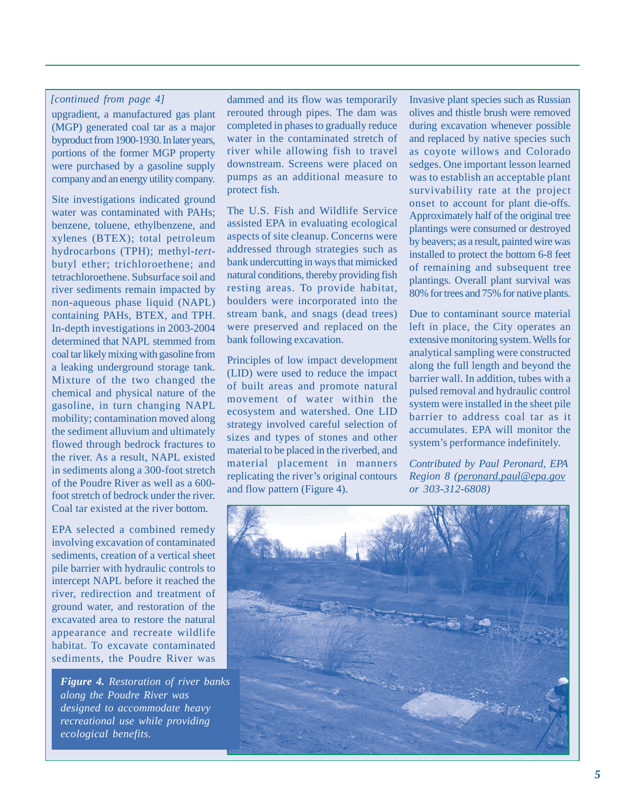#### *[continued from page 4]*

upgradient, a manufactured gas plant (MGP) generated coal tar as a major byproduct from 1900-1930. In later years, portions of the former MGP property were purchased by a gasoline supply company and an energy utility company.

Site investigations indicated ground water was contaminated with PAHs; benzene, toluene, ethylbenzene, and xylenes (BTEX); total petroleum hydrocarbons (TPH); methyl-*tert*butyl ether; trichloroethene; and tetrachloroethene. Subsurface soil and river sediments remain impacted by non-aqueous phase liquid (NAPL) containing PAHs, BTEX, and TPH. In-depth investigations in 2003-2004 determined that NAPL stemmed from coal tar likely mixing with gasoline from a leaking underground storage tank. Mixture of the two changed the chemical and physical nature of the gasoline, in turn changing NAPL mobility; contamination moved along the sediment alluvium and ultimately flowed through bedrock fractures to the river. As a result, NAPL existed in sediments along a 300-foot stretch of the Poudre River as well as a 600 foot stretch of bedrock under the river. Coal tar existed at the river bottom.

EPA selected a combined remedy involving excavation of contaminated sediments, creation of a vertical sheet pile barrier with hydraulic controls to intercept NAPL before it reached the river, redirection and treatment of ground water, and restoration of the excavated area to restore the natural appearance and recreate wildlife habitat. To excavate contaminated sediments, the Poudre River was

*Figure 4. Restoration of river banks along the Poudre River was designed to accommodate heavy recreational use while providing ecological benefits.* 

dammed and its flow was temporarily rerouted through pipes. The dam was completed in phases to gradually reduce water in the contaminated stretch of river while allowing fish to travel downstream. Screens were placed on pumps as an additional measure to protect fish.

The U.S. Fish and Wildlife Service assisted EPA in evaluating ecological aspects of site cleanup. Concerns were addressed through strategies such as bank undercutting in ways that mimicked natural conditions, thereby providing fish resting areas. To provide habitat, boulders were incorporated into the stream bank, and snags (dead trees) were preserved and replaced on the bank following excavation.

Principles of low impact development (LID) were used to reduce the impact of built areas and promote natural movement of water within the ecosystem and watershed. One LID strategy involved careful selection of sizes and types of stones and other material to be placed in the riverbed, and material placement in manners replicating the river's original contours and flow pattern (Figure 4).

Invasive plant species such as Russian olives and thistle brush were removed during excavation whenever possible and replaced by native species such as coyote willows and Colorado sedges. One important lesson learned was to establish an acceptable plant survivability rate at the project onset to account for plant die-offs. Approximately half of the original tree plantings were consumed or destroyed by beavers; as a result, painted wire was installed to protect the bottom 6-8 feet of remaining and subsequent tree plantings. Overall plant survival was 80% for trees and 75% for native plants.

Due to contaminant source material left in place, the City operates an extensive monitoring system. Wells for analytical sampling were constructed along the full length and beyond the barrier wall. In addition, tubes with a pulsed removal and hydraulic control system were installed in the sheet pile barrier to address coal tar as it accumulates. EPA will monitor the system's performance indefinitely.

*Contributed by Paul Peronard, EPA Region 8 [\(peronard.paul@epa.gov](mailto:peronard.paul@epa.gov)  or 303-312-6808)*